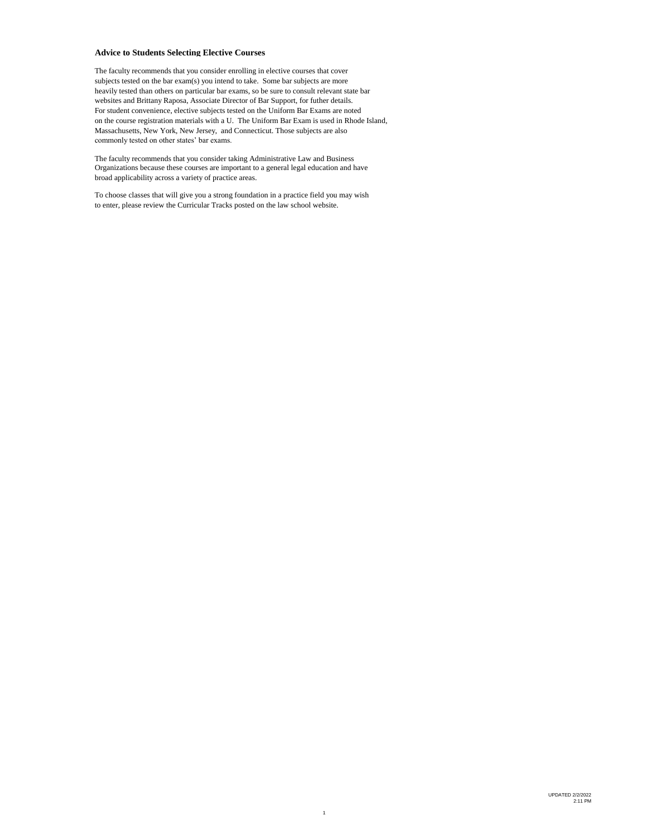#### **Advice to Students Selecting Elective Courses**

The faculty recommends that you consider enrolling in elective courses that cover subjects tested on the bar exam(s) you intend to take. Some bar subjects are more heavily tested than others on particular bar exams, so be sure to consult relevant state bar websites and Brittany Raposa, Associate Director of Bar Support, for futher details. For student convenience, elective subjects tested on the Uniform Bar Exams are noted on the course registration materials with a U. The Uniform Bar Exam is used in Rhode Island, Massachusetts, New York, New Jersey, and Connecticut. Those subjects are also commonly tested on other states' bar exams.

The faculty recommends that you consider taking Administrative Law and Business Organizations because these courses are important to a general legal education and have broad applicability across a variety of practice areas.

To choose classes that will give you a strong foundation in a practice field you may wish to enter, please review the Curricular Tracks posted on the law school website.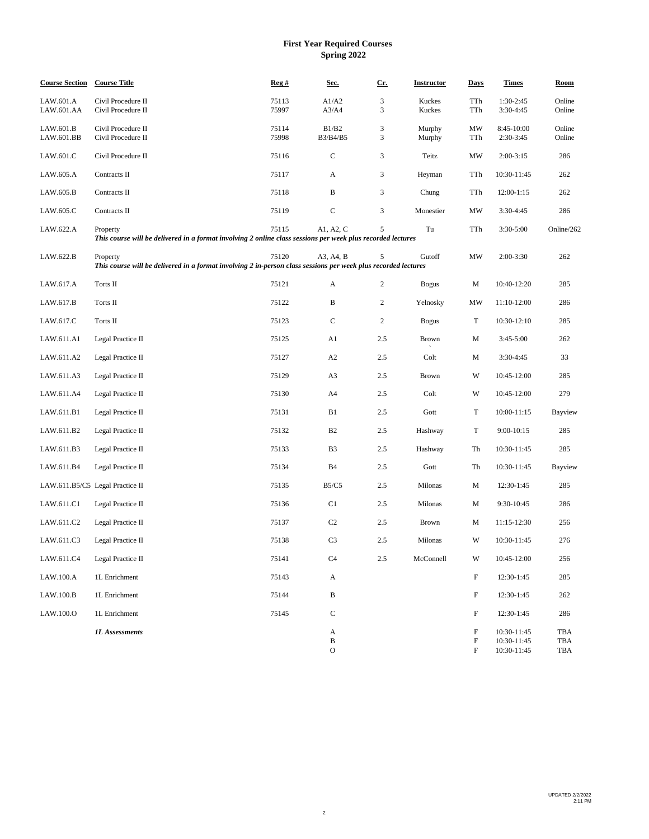### **First Year Required Courses Spring 2022**

| <b>Course Section</b>   | <b>Course Title</b>                                                                                                        | Reg#           | Sec.                    | <u>Cr.</u>     | <b>Instructor</b> | <b>Days</b>                                   | <b>Times</b>                              | Room              |
|-------------------------|----------------------------------------------------------------------------------------------------------------------------|----------------|-------------------------|----------------|-------------------|-----------------------------------------------|-------------------------------------------|-------------------|
| LAW.601.A<br>LAW.601.AA | Civil Procedure II<br>Civil Procedure II                                                                                   | 75113<br>75997 | A1/A2<br>A3/A4          | 3<br>3         | Kuckes<br>Kuckes  | TTh<br>TTh                                    | 1:30-2:45<br>3:30-4:45                    | Online<br>Online  |
| LAW.601.B<br>LAW.601.BB | Civil Procedure II<br>Civil Procedure II                                                                                   | 75114<br>75998 | B1/B2<br>B3/B4/B5       | 3<br>3         | Murphy<br>Murphy  | MW<br>TTh                                     | 8:45-10:00<br>2:30-3:45                   | Online<br>Online  |
| LAW.601.C               | Civil Procedure II                                                                                                         | 75116          | $\mathbf C$             | 3              | Teitz             | MW                                            | $2:00-3:15$                               | 286               |
| LAW.605.A               | Contracts II                                                                                                               | 75117          | A                       | 3              | Heyman            | TTh                                           | 10:30-11:45                               | 262               |
| LAW.605.B               | Contracts II                                                                                                               | 75118          | $\, {\bf B}$            | 3              | Chung             | TTh                                           | 12:00-1:15                                | 262               |
| LAW.605.C               | Contracts II                                                                                                               | 75119          | ${\bf C}$               | 3              | Monestier         | MW                                            | 3:30-4:45                                 | 286               |
| LAW.622.A               | Property<br>This course will be delivered in a format involving 2 online class sessions per week plus recorded lectures    | 75115          | A1, A2, C               | 5              | Tu                | TTh                                           | 3:30-5:00                                 | Online/262        |
| LAW.622.B               | Property<br>This course will be delivered in a format involving 2 in-person class sessions per week plus recorded lectures | 75120          | A3, A4, B               | 5              | Gutoff            | MW                                            | $2:00-3:30$                               | 262               |
| LAW.617.A               | Torts II                                                                                                                   | 75121          | A                       | 2              | <b>Bogus</b>      | М                                             | 10:40-12:20                               | 285               |
| LAW.617.B               | Torts II                                                                                                                   | 75122          | B                       | $\overline{c}$ | Yelnosky          | MW                                            | 11:10-12:00                               | 286               |
| LAW.617.C               | Torts II                                                                                                                   | 75123          | $\mathbf C$             | $\overline{c}$ | <b>Bogus</b>      | T                                             | 10:30-12:10                               | 285               |
| LAW.611.A1              | Legal Practice II                                                                                                          | 75125          | A1                      | 2.5            | Brown             | М                                             | $3:45-5:00$                               | 262               |
| LAW.611.A2              | Legal Practice II                                                                                                          | 75127          | A2                      | 2.5            | Colt              | М                                             | $3:30-4:45$                               | 33                |
| LAW.611.A3              | Legal Practice II                                                                                                          | 75129          | A3                      | 2.5            | Brown             | W                                             | 10:45-12:00                               | 285               |
| LAW.611.A4              | Legal Practice II                                                                                                          | 75130          | A4                      | 2.5            | Colt              | W                                             | 10:45-12:00                               | 279               |
| LAW.611.B1              | Legal Practice II                                                                                                          | 75131          | B1                      | 2.5            | Gott              | T                                             | 10:00-11:15                               | Bayview           |
| LAW.611.B2              | Legal Practice II                                                                                                          | 75132          | B2                      | 2.5            | Hashway           | T                                             | 9:00-10:15                                | 285               |
| LAW.611.B3              | Legal Practice II                                                                                                          | 75133          | B <sub>3</sub>          | 2.5            | Hashway           | Th                                            | 10:30-11:45                               | 285               |
| LAW.611.B4              | Legal Practice II                                                                                                          | 75134          | <b>B4</b>               | 2.5            | Gott              | Th                                            | 10:30-11:45                               | Bayview           |
|                         | LAW.611.B5/C5 Legal Practice II                                                                                            | 75135          | <b>B5/C5</b>            | 2.5            | Milonas           | М                                             | 12:30-1:45                                | 285               |
| LAW.611.C1              | Legal Practice II                                                                                                          | 75136          | C1                      | 2.5            | Milonas           | М                                             | 9:30-10:45                                | 286               |
| LAW.611.C2              | Legal Practice II                                                                                                          | 75137          | C <sub>2</sub>          | 2.5            | Brown             | М                                             | 11:15-12:30                               | 256               |
| LAW.611.C3              | Legal Practice II                                                                                                          | 75138          | C <sub>3</sub>          | 2.5            | Milonas           | W                                             | 10:30-11:45                               | 276               |
| LAW.611.C4              | Legal Practice II                                                                                                          | 75141          | C <sub>4</sub>          | 2.5            | McConnell         | W                                             | 10:45-12:00                               | 256               |
| LAW.100.A               | 1L Enrichment                                                                                                              | 75143          | A                       |                |                   | $\mathbf F$                                   | 12:30-1:45                                | 285               |
| LAW.100.B               | 1L Enrichment                                                                                                              | 75144          | B                       |                |                   | F                                             | 12:30-1:45                                | 262               |
| LAW.100.O               | 1L Enrichment                                                                                                              | 75145          | ${\bf C}$               |                |                   | $\mathbf F$                                   | 12:30-1:45                                | 286               |
|                         | <b>1L</b> Assessments                                                                                                      |                | A<br>B<br>$\mathcal{O}$ |                |                   | $\mathbf F$<br>F<br>$\boldsymbol{\mathrm{F}}$ | 10:30-11:45<br>10:30-11:45<br>10:30-11:45 | TBA<br>TBA<br>TBA |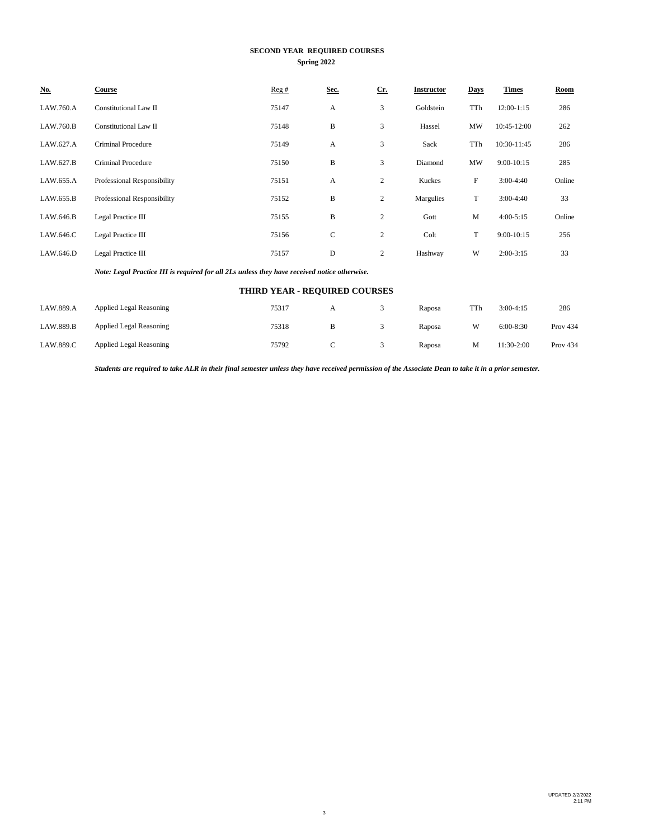### **SECOND YEAR REQUIRED COURSES Spring 2022**

| No.       | Course                      | Reg#  | Sec. | $Cr$ .         | <b>Instructor</b> | <b>Days</b> | <b>Times</b> | Room   |
|-----------|-----------------------------|-------|------|----------------|-------------------|-------------|--------------|--------|
| LAW.760.A | Constitutional Law II       | 75147 | A    | 3              | Goldstein         | TTh         | 12:00-1:15   | 286    |
| LAW.760.B | Constitutional Law II       | 75148 | B    | 3              | Hassel            | MW          | 10:45-12:00  | 262    |
| LAW.627.A | Criminal Procedure          | 75149 | A    | 3              | Sack              | TTh         | 10:30-11:45  | 286    |
| LAW.627.B | <b>Criminal Procedure</b>   | 75150 | B    | 3              | Diamond           | <b>MW</b>   | $9:00-10:15$ | 285    |
| LAW.655.A | Professional Responsibility | 75151 | А    | $\mathbf{2}$   | Kuckes            | F           | $3:00-4:40$  | Online |
| LAW.655.B | Professional Responsibility | 75152 | B    | 2              | Margulies         | T           | $3:00-4:40$  | 33     |
| LAW.646.B | Legal Practice III          | 75155 | B    | 2              | Gott              | M           | $4:00-5:15$  | Online |
| LAW.646.C | Legal Practice III          | 75156 | C    | $\mathbf{2}$   | Colt              | T           | $9:00-10:15$ | 256    |
| LAW.646.D | Legal Practice III          | 75157 | D    | $\overline{c}$ | Hashway           | W           | $2:00-3:15$  | 33     |

*Note: Legal Practice III is required for all 2Ls unless they have received notice otherwise.*

## **THIRD YEAR - REQUIRED COURSES**

| LAW.889.A | <b>Applied Legal Reasoning</b> | 75317 | A | Raposa | TTh | $3:00-4:15$ | 286        |
|-----------|--------------------------------|-------|---|--------|-----|-------------|------------|
| LAW.889.B | <b>Applied Legal Reasoning</b> | 75318 |   | Raposa | W   | $6:00-8:30$ | Prov $434$ |
| LAW.889.C | <b>Applied Legal Reasoning</b> | 75792 | ◡ | Raposa | м   | 11:30-2:00  | Prov $434$ |

*Students are required to take ALR in their final semester unless they have received permission of the Associate Dean to take it in a prior semester.*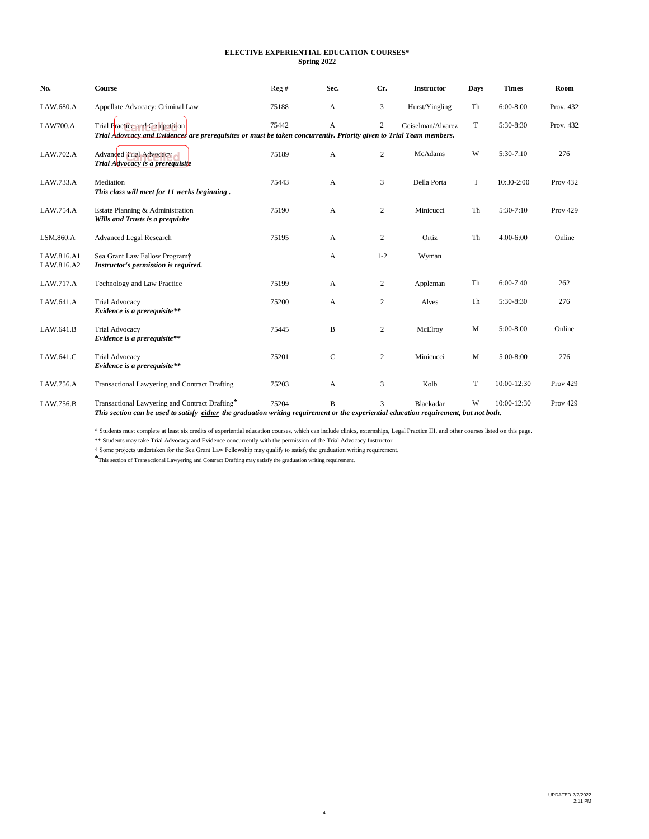### **ELECTIVE EXPERIENTIAL EDUCATION COURSES\* Spring 2022**

| No.                      | <b>Course</b>                                                                                                                                                                            | Reg#  | Sec.        | Cr.            | <b>Instructor</b> | Days | <b>Times</b>    | Room            |
|--------------------------|------------------------------------------------------------------------------------------------------------------------------------------------------------------------------------------|-------|-------------|----------------|-------------------|------|-----------------|-----------------|
| LAW.680.A                | Appellate Advocacy: Criminal Law                                                                                                                                                         | 75188 | A           | 3              | Hurst/Yingling    | Th   | $6:00-8:00$     | Prov. 432       |
| <b>LAW700.A</b>          | Trial Practice and Competition<br>Trial Adovcacy and Evidences are prerequisites or must be taken concurrently. Priority given to Trial Team members.                                    | 75442 | A           | $\overline{2}$ | Geiselman/Alvarez | T    | 5:30-8:30       | Prov. 432       |
| LAW.702.A                | Advanced Trial Advocacy<br>Trial Advocacy is a prerequisite                                                                                                                              | 75189 | A           | $\overline{c}$ | McAdams           | W    | 5:30-7:10       | 276             |
| LAW.733.A                | Mediation<br>This class will meet for 11 weeks beginning.                                                                                                                                | 75443 | A           | 3              | Della Porta       | T    | 10:30-2:00      | <b>Prov 432</b> |
| LAW.754.A                | Estate Planning & Administration<br>Wills and Trusts is a prequisite                                                                                                                     | 75190 | A           | $\overline{c}$ | Minicucci         | Th   | $5:30-7:10$     | <b>Prov 429</b> |
| LSM.860.A                | <b>Advanced Legal Research</b>                                                                                                                                                           | 75195 | A           | $\overline{c}$ | Ortiz             | Th   | $4:00-6:00$     | Online          |
| LAW.816.A1<br>LAW.816.A2 | Sea Grant Law Fellow Program†<br>Instructor's permission is required.                                                                                                                    |       | A           | $1 - 2$        | Wyman             |      |                 |                 |
| LAW.717.A                | Technology and Law Practice                                                                                                                                                              | 75199 | A           | $\overline{c}$ | Appleman          | Th   | $6:00-7:40$     | 262             |
| LAW.641.A                | <b>Trial Advocacy</b><br>Evidence is a prerequisite**                                                                                                                                    | 75200 | A           | $\overline{2}$ | Alves             | Th   | 5:30-8:30       | 276             |
| LAW.641.B                | <b>Trial Advocacy</b><br>Evidence is a prerequisite**                                                                                                                                    | 75445 | B           | $\overline{2}$ | McElroy           | M    | $5:00-8:00$     | Online          |
| LAW.641.C                | <b>Trial Advocacy</b><br>Evidence is a prerequisite**                                                                                                                                    | 75201 | $\mathbf C$ | $\overline{2}$ | Minicucci         | M    | $5:00-8:00$     | 276             |
| LAW.756.A                | Transactional Lawyering and Contract Drafting                                                                                                                                            | 75203 | A           | 3              | Kolb              | T    | 10:00-12:30     | <b>Prov 429</b> |
| LAW.756.B                | Transactional Lawyering and Contract Drafting*<br>This section can be used to satisfy either the graduation writing requirement or the experiential education requirement, but not both. | 75204 | B           | 3              | Blackadar         | W    | $10:00 - 12:30$ | <b>Prov 429</b> |

\* Students must complete at least six credits of experiential education courses, which can include clinics, externships, Legal Practice III, and other courses listed on this page.

\*\* Students may take Trial Advocacy and Evidence concurrently with the permission of the Trial Advocacy Instructor

† Some projects undertaken for the Sea Grant Law Fellowship may qualify to satisfy the graduation writing requirement.

<sup>\*</sup>This section of Transactional Lawyering and Contract Drafting may satisfy the graduation writing requirement.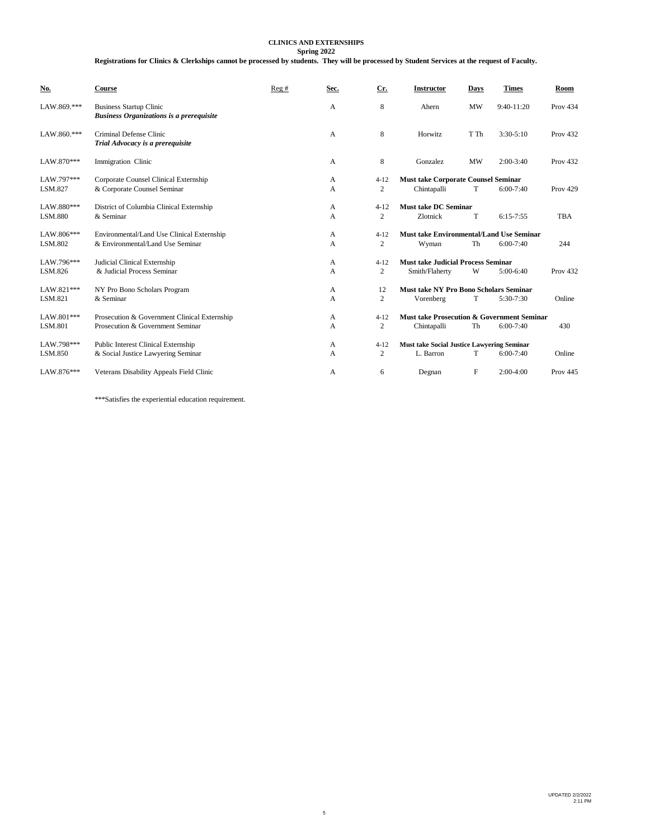#### **CLINICS AND EXTERNSHIPS**

**Spring 2022 Registrations for Clinics & Clerkships cannot be processed by students. They will be processed by Student Services at the request of Faculty.**

| <b>No.</b>            | <b>Course</b>                                                                     | Reg# | Sec.   | Cr.                        | <b>Instructor</b>                                           | Days         | <b>Times</b> | Room            |
|-----------------------|-----------------------------------------------------------------------------------|------|--------|----------------------------|-------------------------------------------------------------|--------------|--------------|-----------------|
| LAW.869.***           | <b>Business Startup Clinic</b><br><b>Business Organizations is a prerequisite</b> |      | A      | 8                          | Ahern                                                       | <b>MW</b>    | 9:40-11:20   | <b>Prov 434</b> |
| $LAW.860$ .***        | Criminal Defense Clinic<br>Trial Advocacy is a prerequisite                       |      | A      | 8                          | Horwitz                                                     | T Th         | $3:30-5:10$  | <b>Prov 432</b> |
| LAW.870***            | Immigration Clinic                                                                |      | A      | 8                          | Gonzalez                                                    | <b>MW</b>    | $2:00-3:40$  | <b>Prov 432</b> |
| LAW.797***<br>LSM.827 | Corporate Counsel Clinical Externship<br>& Corporate Counsel Seminar              |      | А<br>A | $4 - 12$<br>$\overline{c}$ | <b>Must take Corporate Counsel Seminar</b><br>Chintapalli   | T            | $6:00-7:40$  | <b>Prov 429</b> |
| LAW.880***<br>LSM.880 | District of Columbia Clinical Externship<br>& Seminar                             |      | A<br>A | $4 - 12$<br>2              | <b>Must take DC Seminar</b><br>Zlotnick                     | T            | $6:15-7:55$  | <b>TBA</b>      |
| LAW.806***<br>LSM.802 | Environmental/Land Use Clinical Externship<br>& Environmental/Land Use Seminar    |      | A<br>А | $4 - 12$<br>$\overline{c}$ | <b>Must take Environmental/Land Use Seminar</b><br>Wyman    | Th           | $6:00-7:40$  | 244             |
| LAW.796***<br>LSM.826 | Judicial Clinical Externship<br>& Judicial Process Seminar                        |      | А<br>A | $4 - 12$<br>2              | <b>Must take Judicial Process Seminar</b><br>Smith/Flaherty | W            | $5:00-6:40$  | <b>Prov 432</b> |
| LAW.821***<br>LSM.821 | NY Pro Bono Scholars Program<br>& Seminar                                         |      | A<br>A | 12<br>2                    | Must take NY Pro Bono Scholars Seminar<br>Vorenberg         | T            | 5:30-7:30    | Online          |
| LAW.801***<br>LSM.801 | Prosecution & Government Clinical Externship<br>Prosecution & Government Seminar  |      | A<br>A | $4 - 12$<br>$\overline{c}$ | Must take Prosecution & Government Seminar<br>Chintapalli   | Th           | $6:00-7:40$  | 430             |
| LAW.798***<br>LSM.850 | Public Interest Clinical Externship<br>& Social Justice Lawyering Seminar         |      | A<br>А | $4 - 12$<br>2              | Must take Social Justice Lawyering Seminar<br>L. Barron     | T            | $6:00-7:40$  | Online          |
| LAW.876***            | Veterans Disability Appeals Field Clinic                                          |      | А      | 6                          | Degnan                                                      | $\mathbf{F}$ | $2:00-4:00$  | <b>Prov 445</b> |

\*\*\*Satisfies the experiential education requirement.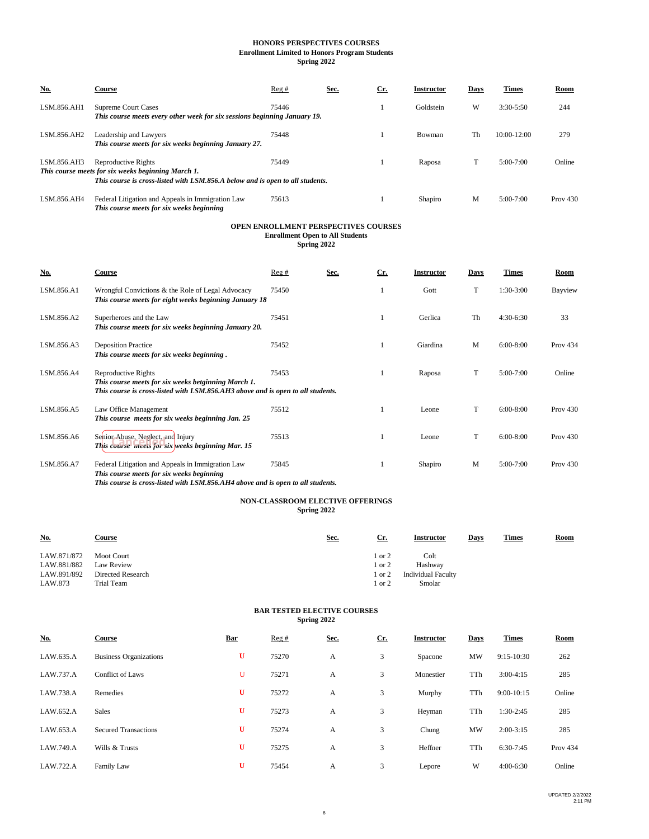#### **Spring 2022 HONORS PERSPECTIVES COURSES Enrollment Limited to Honors Program Students**

| No.         | Course                                                                                                                                                     | Reg#  | Sec. | Cr. | <b>Instructor</b> | Days | Times           | Room       |
|-------------|------------------------------------------------------------------------------------------------------------------------------------------------------------|-------|------|-----|-------------------|------|-----------------|------------|
| LSM.856.AH1 | <b>Supreme Court Cases</b><br>This course meets every other week for six sessions beginning January 19.                                                    | 75446 |      |     | Goldstein         | W    | $3:30 - 5:50$   | 244        |
| LSM.856.AH2 | Leadership and Lawyers<br>This course meets for six weeks beginning January 27.                                                                            | 75448 |      |     | Bowman            | Th   | $10:00 - 12:00$ | 279        |
| LSM.856.AH3 | Reproductive Rights<br>This course meets for six weeks beginning March 1.<br>This course is cross-listed with LSM.856.A below and is open to all students. | 75449 |      |     | Raposa            |      | $5:00-7:00$     | Online     |
| LSM.856.AH4 | Federal Litigation and Appeals in Immigration Law                                                                                                          | 75613 |      |     | Shapiro           | М    | $5:00-7:00$     | Prov $430$ |

### **OPEN ENROLLMENT PERSPECTIVES COURSES Enrollment Open to All Students**

**Spring 2022**

| No.        | Course                                                                                                                                                                              | Reg#  | Sec. | $Cr$ . | <b>Instructor</b> | Days | <b>Times</b> | Room            |
|------------|-------------------------------------------------------------------------------------------------------------------------------------------------------------------------------------|-------|------|--------|-------------------|------|--------------|-----------------|
| LSM.856.A1 | Wrongful Convictions & the Role of Legal Advocacy<br>This course meets for eight weeks beginning January 18                                                                         | 75450 |      |        | Gott              | T    | 1:30-3:00    | Bayview         |
| LSM.856.A2 | Superheroes and the Law<br>This course meets for six weeks beginning January 20.                                                                                                    | 75451 |      |        | Gerlica           | Th   | $4:30-6:30$  | 33              |
| LSM.856.A3 | <b>Deposition Practice</b><br>This course meets for six weeks beginning.                                                                                                            | 75452 |      |        | Giardina          | M    | $6:00-8:00$  | <b>Prov 434</b> |
| LSM.856.A4 | Reproductive Rights<br>This course meets for six weeks betginning March 1.<br>This course is cross-listed with LSM.856.AH3 above and is open to all students.                       | 75453 |      |        | Raposa            | T    | $5:00-7:00$  | Online          |
| LSM.856.A5 | Law Office Management<br>This course meets for six weeks beginning Jan. 25                                                                                                          | 75512 |      |        | Leone             | T    | $6:00-8:00$  | Prov $430$      |
| LSM.856.A6 | Senior Abuse, Neglect, and Injury<br>This course meets for six weeks beginning Mar. 15                                                                                              | 75513 |      |        | Leone             | T    | $6:00-8:00$  | Prov $430$      |
| LSM.856.A7 | Federal Litigation and Appeals in Immigration Law<br>This course meets for six weeks beginning<br>This course is agone listed with I CM OFC AILA shows and is come to all students. | 75845 |      |        | Shapiro           | M    | $5:00-7:00$  | Prov $430$      |

*This course is cross-listed with LSM.856.AH4 above and is open to all students.*

*This course meets for six weeks beginning* 

#### **NON-CLASSROOM ELECTIVE OFFERINGS Spring 2022**

| <b>No.</b>  | Course            | Sec. | <u>Cr.</u>      | <b>Instructor</b>         | <b>Days</b> | <b>Times</b> | <b>Room</b> |
|-------------|-------------------|------|-----------------|---------------------------|-------------|--------------|-------------|
| LAW.871/872 | <b>Moot Court</b> |      | $^{\circ}$ or 2 | Colt                      |             |              |             |
| LAW.881/882 | Law Review        |      | or $2$          | Hashway                   |             |              |             |
| LAW.891/892 | Directed Research |      | or $2$          | <b>Individual Faculty</b> |             |              |             |
| LAW.873     | Trial Team        |      | or $2$          | Smolar                    |             |              |             |

#### **BAR TESTED ELECTIVE COURSES Spring 2022**

| <b>No.</b> | <b>Course</b>                 | <b>Bar</b> | Reg#  | Sec. | $Cr$ . | <b>Instructor</b> | Days | <b>Times</b> | <b>Room</b>     |
|------------|-------------------------------|------------|-------|------|--------|-------------------|------|--------------|-----------------|
| LAW.635.A  | <b>Business Organizations</b> | U          | 75270 | А    | 3      | Spacone           | MW   | $9:15-10:30$ | 262             |
| LAW.737.A  | Conflict of Laws              | U          | 75271 | A    | 3      | Monestier         | TTh  | $3:00-4:15$  | 285             |
| LAW.738.A  | Remedies                      | U          | 75272 | A    | 3      | Murphy            | TTh  | $9:00-10:15$ | Online          |
| LAW.652.A  | <b>Sales</b>                  | U          | 75273 | А    | 3      | Heyman            | TTh  | $1:30-2:45$  | 285             |
| LAW.653.A  | <b>Secured Transactions</b>   | U          | 75274 | А    | 3      | Chung             | MW   | $2:00-3:15$  | 285             |
| LAW.749.A  | Wills & Trusts                | U          | 75275 | А    | 3      | Heffner           | TTh  | $6:30-7:45$  | <b>Prov 434</b> |
| LAW.722.A  | Family Law                    | U          | 75454 | А    | 3      | Lepore            | W    | $4:00-6:30$  | Online          |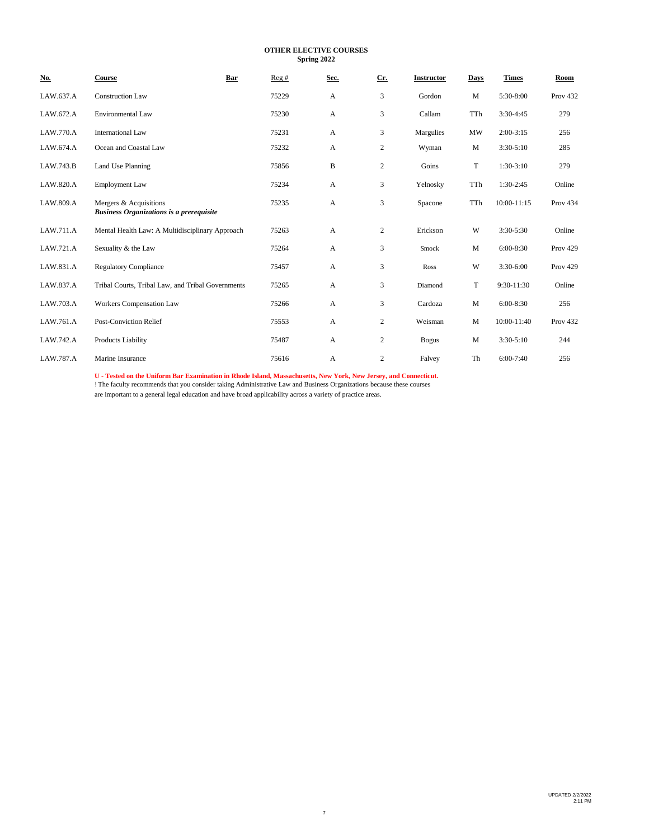**OTHER ELECTIVE COURSES Spring 2022**

| <u>No.</u> | Course                                                                    | Bar<br>Reg# | Sec. | Cr.            | <b>Instructor</b> | Days      | <b>Times</b>  | Room            |
|------------|---------------------------------------------------------------------------|-------------|------|----------------|-------------------|-----------|---------------|-----------------|
| LAW.637.A  | <b>Construction Law</b>                                                   | 75229       | A    | 3              | Gordon            | M         | 5:30-8:00     | <b>Prov 432</b> |
| LAW.672.A  | <b>Environmental Law</b>                                                  | 75230       | A    | 3              | Callam            | TTh       | $3:30-4:45$   | 279             |
| LAW.770.A  | <b>International Law</b>                                                  | 75231       | A    | 3              | Margulies         | <b>MW</b> | $2:00-3:15$   | 256             |
| LAW.674.A  | Ocean and Coastal Law                                                     | 75232       | A    | $\overline{c}$ | Wyman             | M         | $3:30-5:10$   | 285             |
| LAW.743.B  | Land Use Planning                                                         | 75856       | B    | $\overline{c}$ | Goins             | T         | $1:30-3:10$   | 279             |
| LAW.820.A  | <b>Employment Law</b>                                                     | 75234       | А    | 3              | Yelnosky          | TTh       | $1:30-2:45$   | Online          |
| LAW.809.A  | Mergers & Acquisitions<br><b>Business Organizations is a prerequisite</b> | 75235       | A    | 3              | Spacone           | TTh       | 10:00-11:15   | Prov 434        |
| LAW.711.A  | Mental Health Law: A Multidisciplinary Approach                           | 75263       | A    | $\overline{c}$ | Erickson          | W         | 3:30-5:30     | Online          |
| LAW.721.A  | Sexuality & the Law                                                       | 75264       | А    | 3              | Smock             | M         | 6:00-8:30     | <b>Prov 429</b> |
| LAW.831.A  | <b>Regulatory Compliance</b>                                              | 75457       | A    | 3              | Ross              | W         | $3:30-6:00$   | <b>Prov 429</b> |
| LAW.837.A  | Tribal Courts, Tribal Law, and Tribal Governments                         | 75265       | A    | 3              | Diamond           | T         | 9:30-11:30    | Online          |
| LAW.703.A  | Workers Compensation Law                                                  | 75266       | А    | 3              | Cardoza           | M         | $6:00-8:30$   | 256             |
| LAW.761.A  | <b>Post-Conviction Relief</b>                                             | 75553       | A    | $\overline{c}$ | Weisman           | M         | 10:00-11:40   | <b>Prov 432</b> |
| LAW.742.A  | Products Liability                                                        | 75487       | A    | $\overline{c}$ | <b>Bogus</b>      | M         | $3:30 - 5:10$ | 244             |
| LAW.787.A  | Marine Insurance                                                          | 75616       | A    | $\mathbf{2}$   | Falvey            | Th        | $6:00-7:40$   | 256             |

U - Tested on the Uniform Bar Examination in Rhode Island, Massachusetts, New York, New Jersey, and Connecticut.<br>! The faculty recommends that you consider taking Administrative Law and Business Organizations because these

are important to a general legal education and have broad applicability across a variety of practice areas.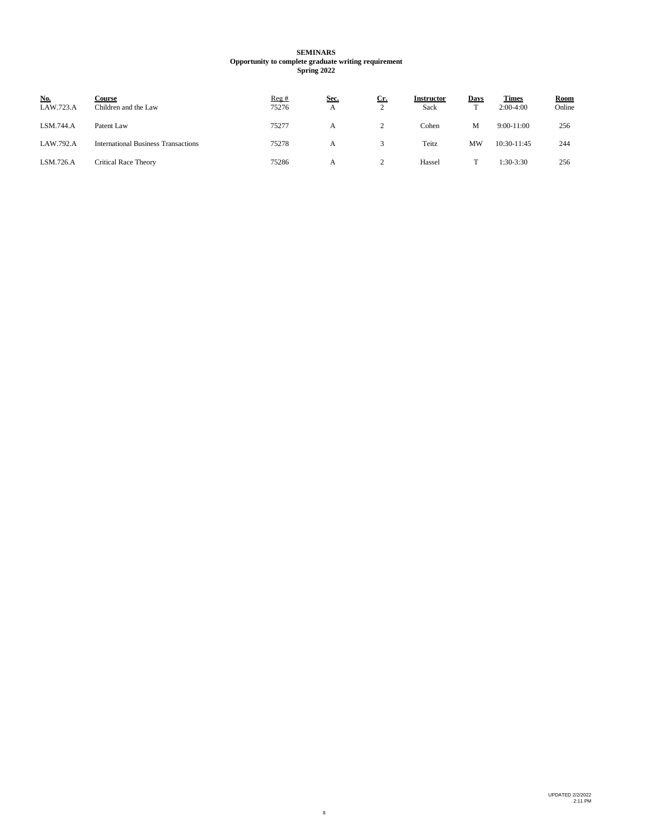#### **SEMINARS Opportunity to complete graduate writing requirement Spring 2022**

| No.<br>LAW.723.A | Course<br>Children and the Law             | Reg#<br>75276 | Sec.<br>A | <u>Cr.</u> | <b>Instructor</b><br>Sack | <b>Days</b> | <b>Times</b><br>$2:00-4:00$ | <b>Room</b><br>Online |
|------------------|--------------------------------------------|---------------|-----------|------------|---------------------------|-------------|-----------------------------|-----------------------|
| LSM.744.A        | Patent Law                                 | 75277         | А         |            | Cohen                     | M           | $9:00-11:00$                | 256                   |
| LAW.792.A        | <b>International Business Transactions</b> | 75278         | A         |            | Teitz                     | <b>MW</b>   | 10:30-11:45                 | 244                   |
| LSM.726.A        | <b>Critical Race Theory</b>                | 75286         |           |            | Hassel                    |             | $1:30-3:30$                 | 256                   |